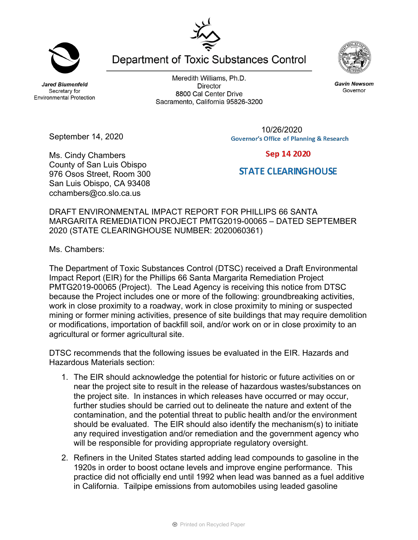**Jared Blumenfeld** Secretary for **Environmental Protection** 

Meredith Williams, Ph.D. **Director** 8800 Cal Center Drive Sacramento, California 95826-3200

Department of Toxic Substances Control

10/26/2020**Governor's Office of Planning & Research** 

## Sep 14 2020 **STATE CLEARINGHOUSE**

## DRAFT ENVIRONMENTAL IMPACT REPORT FOR PHILLIPS 66 SANTA MARGARITA REMEDIATION PROJECT PMTG2019-00065 – DATED SEPTEMBER 2020 (STATE CLEARINGHOUSE NUMBER: 2020060361)

Ms. Chambers:

The Department of Toxic Substances Control (DTSC) received a Draft Environmental Impact Report (EIR) for the Phillips 66 Santa Margarita Remediation Project PMTG2019-00065 (Project). The Lead Agency is receiving this notice from DTSC because the Project includes one or more of the following: groundbreaking activities, work in close proximity to a roadway, work in close proximity to mining or suspected mining or former mining activities, presence of site buildings that may require demolition or modifications, importation of backfill soil, and/or work on or in close proximity to an agricultural or former agricultural site.

DTSC recommends that the following issues be evaluated in the EIR. Hazards and Hazardous Materials section:

- 1. The EIR should acknowledge the potential for historic or future activities on or near the project site to result in the release of hazardous wastes/substances on the project site. In instances in which releases have occurred or may occur, further studies should be carried out to delineate the nature and extent of the contamination, and the potential threat to public health and/or the environment should be evaluated. The EIR should also identify the mechanism(s) to initiate any required investigation and/or remediation and the government agency who will be responsible for providing appropriate regulatory oversight.
- 2. Refiners in the United States started adding lead compounds to gasoline in the 1920s in order to boost octane levels and improve engine performance. This practice did not officially end until 1992 when lead was banned as a fuel additive in California. Tailpipe emissions from automobiles using leaded gasoline

**Gavin Newsom** 

Governor



September 14, 2020

Ms. Cindy Chambers

County of San Luis Obispo 976 Osos Street, Room 300 San Luis Obispo, CA 93408 cchambers@co.slo.ca.us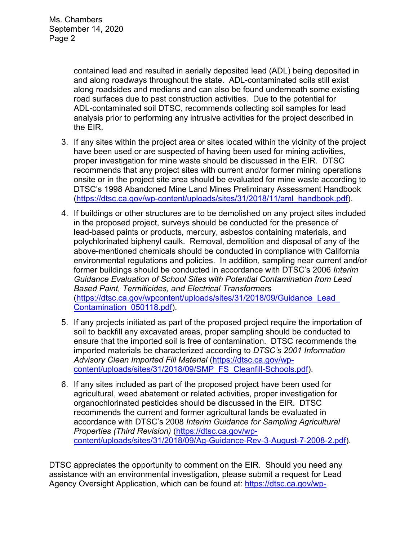contained lead and resulted in aerially deposited lead (ADL) being deposited in and along roadways throughout the state. ADL-contaminated soils still exist along roadsides and medians and can also be found underneath some existing road surfaces due to past construction activities. Due to the potential for ADL-contaminated soil DTSC, recommends collecting soil samples for lead analysis prior to performing any intrusive activities for the project described in the EIR.

- 3. If any sites within the project area or sites located within the vicinity of the project have been used or are suspected of having been used for mining activities, proper investigation for mine waste should be discussed in the EIR. DTSC recommends that any project sites with current and/or former mining operations onsite or in the project site area should be evaluated for mine waste according to DTSC's 1998 Abandoned Mine Land Mines Preliminary Assessment Handbook (https://dtsc.ca.gov/wp-content/uploads/sites/31/2018/11/aml\_handbook.pdf).
- 4. If buildings or other structures are to be demolished on any project sites included in the proposed project, surveys should be conducted for the presence of lead-based paints or products, mercury, asbestos containing materials, and polychlorinated biphenyl caulk. Removal, demolition and disposal of any of the above-mentioned chemicals should be conducted in compliance with California environmental regulations and policies. In addition, sampling near current and/or former buildings should be conducted in accordance with DTSC's 2006 *Interim Guidance Evaluation of School Sites with Potential Contamination from Lead Based Paint, Termiticides, and Electrical Transformers*  (https://dtsc.ca.gov/wpcontent/uploads/sites/31/2018/09/Guidance\_Lead\_ Contamination\_050118.pdf).
- 5. If any projects initiated as part of the proposed project require the importation of soil to backfill any excavated areas, proper sampling should be conducted to ensure that the imported soil is free of contamination. DTSC recommends the imported materials be characterized according to *DTSC's 2001 Information Advisory Clean Imported Fill Material* (https://dtsc.ca.gov/wpcontent/uploads/sites/31/2018/09/SMP\_FS\_Cleanfill-Schools.pdf).
- 6. If any sites included as part of the proposed project have been used for agricultural, weed abatement or related activities, proper investigation for organochlorinated pesticides should be discussed in the EIR. DTSC recommends the current and former agricultural lands be evaluated in accordance with DTSC's 2008 *Interim Guidance for Sampling Agricultural Properties (Third Revision)* (https://dtsc.ca.gov/wpcontent/uploads/sites/31/2018/09/Ag-Guidance-Rev-3-August-7-2008-2.pdf).

DTSC appreciates the opportunity to comment on the EIR. Should you need any assistance with an environmental investigation, please submit a request for Lead Agency Oversight Application, which can be found at: https://dtsc.ca.gov/wp